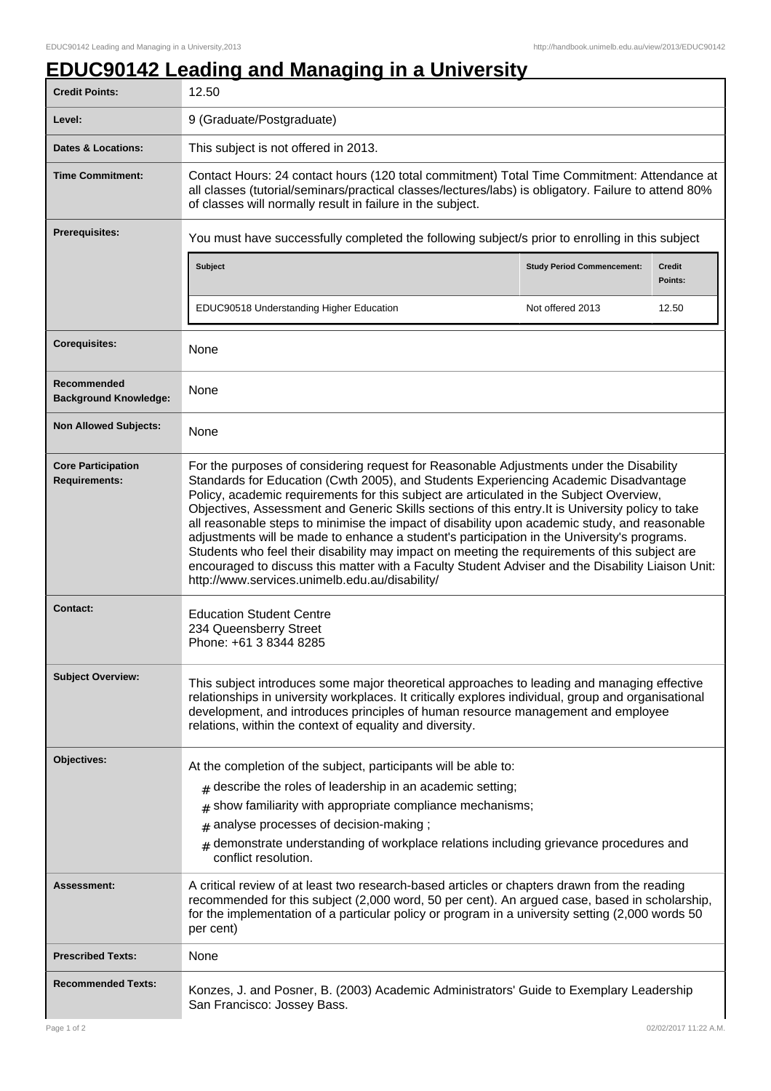## **EDUC90142 Leading and Managing in a University**

| <b>Credit Points:</b>                             | 12.50                                                                                                                                                                                                                                                                                                                                                                                                                                                                                                                                                                                                                                                                                                                                                                                                                                   |                                   |                          |  |
|---------------------------------------------------|-----------------------------------------------------------------------------------------------------------------------------------------------------------------------------------------------------------------------------------------------------------------------------------------------------------------------------------------------------------------------------------------------------------------------------------------------------------------------------------------------------------------------------------------------------------------------------------------------------------------------------------------------------------------------------------------------------------------------------------------------------------------------------------------------------------------------------------------|-----------------------------------|--------------------------|--|
| Level:                                            | 9 (Graduate/Postgraduate)                                                                                                                                                                                                                                                                                                                                                                                                                                                                                                                                                                                                                                                                                                                                                                                                               |                                   |                          |  |
| <b>Dates &amp; Locations:</b>                     | This subject is not offered in 2013.                                                                                                                                                                                                                                                                                                                                                                                                                                                                                                                                                                                                                                                                                                                                                                                                    |                                   |                          |  |
| <b>Time Commitment:</b>                           | Contact Hours: 24 contact hours (120 total commitment) Total Time Commitment: Attendance at<br>all classes (tutorial/seminars/practical classes/lectures/labs) is obligatory. Failure to attend 80%<br>of classes will normally result in failure in the subject.                                                                                                                                                                                                                                                                                                                                                                                                                                                                                                                                                                       |                                   |                          |  |
| Prerequisites:                                    | You must have successfully completed the following subject/s prior to enrolling in this subject                                                                                                                                                                                                                                                                                                                                                                                                                                                                                                                                                                                                                                                                                                                                         |                                   |                          |  |
|                                                   | Subject                                                                                                                                                                                                                                                                                                                                                                                                                                                                                                                                                                                                                                                                                                                                                                                                                                 | <b>Study Period Commencement:</b> | <b>Credit</b><br>Points: |  |
|                                                   | EDUC90518 Understanding Higher Education                                                                                                                                                                                                                                                                                                                                                                                                                                                                                                                                                                                                                                                                                                                                                                                                | Not offered 2013                  | 12.50                    |  |
| <b>Corequisites:</b>                              | None                                                                                                                                                                                                                                                                                                                                                                                                                                                                                                                                                                                                                                                                                                                                                                                                                                    |                                   |                          |  |
| Recommended<br><b>Background Knowledge:</b>       | None                                                                                                                                                                                                                                                                                                                                                                                                                                                                                                                                                                                                                                                                                                                                                                                                                                    |                                   |                          |  |
| <b>Non Allowed Subjects:</b>                      | None                                                                                                                                                                                                                                                                                                                                                                                                                                                                                                                                                                                                                                                                                                                                                                                                                                    |                                   |                          |  |
| <b>Core Participation</b><br><b>Requirements:</b> | For the purposes of considering request for Reasonable Adjustments under the Disability<br>Standards for Education (Cwth 2005), and Students Experiencing Academic Disadvantage<br>Policy, academic requirements for this subject are articulated in the Subject Overview,<br>Objectives, Assessment and Generic Skills sections of this entry. It is University policy to take<br>all reasonable steps to minimise the impact of disability upon academic study, and reasonable<br>adjustments will be made to enhance a student's participation in the University's programs.<br>Students who feel their disability may impact on meeting the requirements of this subject are<br>encouraged to discuss this matter with a Faculty Student Adviser and the Disability Liaison Unit:<br>http://www.services.unimelb.edu.au/disability/ |                                   |                          |  |
| Contact:                                          | <b>Education Student Centre</b><br>234 Queensberry Street<br>Phone: +61 3 8344 8285                                                                                                                                                                                                                                                                                                                                                                                                                                                                                                                                                                                                                                                                                                                                                     |                                   |                          |  |
| <b>Subject Overview:</b>                          | This subject introduces some major theoretical approaches to leading and managing effective<br>relationships in university workplaces. It critically explores individual, group and organisational<br>development, and introduces principles of human resource management and employee<br>relations, within the context of equality and diversity.                                                                                                                                                                                                                                                                                                                                                                                                                                                                                      |                                   |                          |  |
| Objectives:                                       | At the completion of the subject, participants will be able to:                                                                                                                                                                                                                                                                                                                                                                                                                                                                                                                                                                                                                                                                                                                                                                         |                                   |                          |  |
|                                                   | $#$ describe the roles of leadership in an academic setting;                                                                                                                                                                                                                                                                                                                                                                                                                                                                                                                                                                                                                                                                                                                                                                            |                                   |                          |  |
|                                                   | show familiarity with appropriate compliance mechanisms;<br>#                                                                                                                                                                                                                                                                                                                                                                                                                                                                                                                                                                                                                                                                                                                                                                           |                                   |                          |  |
|                                                   | analyse processes of decision-making;<br>#<br>demonstrate understanding of workplace relations including grievance procedures and                                                                                                                                                                                                                                                                                                                                                                                                                                                                                                                                                                                                                                                                                                       |                                   |                          |  |
|                                                   | $\pm$<br>conflict resolution.                                                                                                                                                                                                                                                                                                                                                                                                                                                                                                                                                                                                                                                                                                                                                                                                           |                                   |                          |  |
| <b>Assessment:</b>                                | A critical review of at least two research-based articles or chapters drawn from the reading<br>recommended for this subject (2,000 word, 50 per cent). An argued case, based in scholarship,<br>for the implementation of a particular policy or program in a university setting (2,000 words 50<br>per cent)                                                                                                                                                                                                                                                                                                                                                                                                                                                                                                                          |                                   |                          |  |
| <b>Prescribed Texts:</b>                          | None                                                                                                                                                                                                                                                                                                                                                                                                                                                                                                                                                                                                                                                                                                                                                                                                                                    |                                   |                          |  |
| <b>Recommended Texts:</b>                         | Konzes, J. and Posner, B. (2003) Academic Administrators' Guide to Exemplary Leadership<br>San Francisco: Jossey Bass.                                                                                                                                                                                                                                                                                                                                                                                                                                                                                                                                                                                                                                                                                                                  |                                   |                          |  |